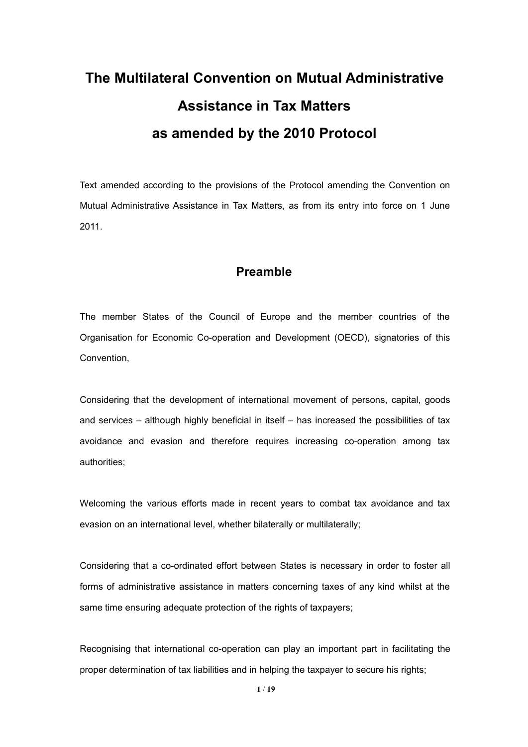# **The Multilateral Convention on Mutual Administrative Assistance in Tax Matters as amended by the 2010 Protocol**

Text amended according to the provisions of the Protocol amending the Convention on Mutual Administrative Assistance in Tax Matters, as from its entry into force on 1 June 2011.

# **Preamble**

The member States of the Council of Europe and the member countries of the Organisation for Economic Co-operation and Development (OECD), signatories of this Convention,

Considering that the development of international movement of persons, capital, goods and services – although highly beneficial in itself – has increased the possibilities of tax avoidance and evasion and therefore requires increasing co-operation among tax authorities;

Welcoming the various efforts made in recent years to combat tax avoidance and tax evasion on an international level, whether bilaterally or multilaterally;

Considering that a co-ordinated effort between States is necessary in order to foster all forms of administrative assistance in matters concerning taxes of any kind whilst at the same time ensuring adequate protection of the rights of taxpayers;

Recognising that international co-operation can play an important part in facilitating the proper determination of tax liabilities and in helping the taxpayer to secure his rights;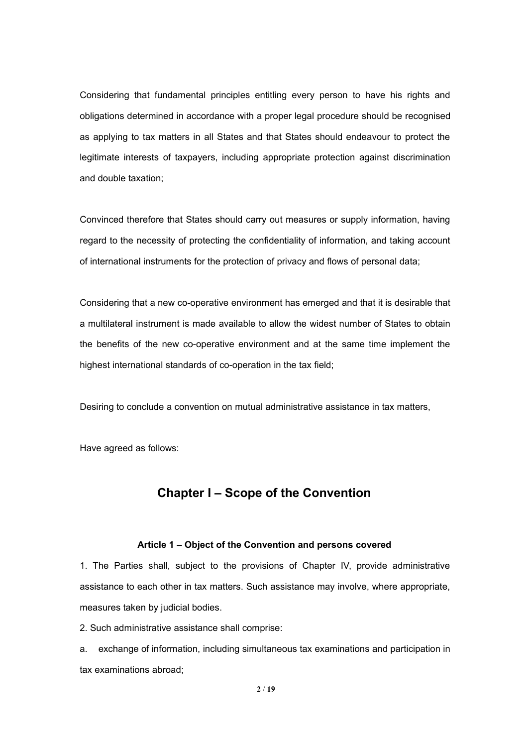Considering that fundamental principles entitling every person to have his rights and obligations determined in accordance with a proper legal procedure should be recognised as applying to tax matters in all States and that States should endeavour to protect the legitimate interests of taxpayers, including appropriate protection against discrimination and double taxation;

Convinced therefore that States should carry out measures or supply information, having regard to the necessity of protecting the confidentiality of information, and taking account of international instruments for the protection of privacy and flows of personaldata;

Considering that a new co-operative environment has emerged and that it is desirable that a multilateral instrument is made available to allow the widest number of States to obtain the benefits of the new co-operative environment and at the same time implement the highest international standards of co-operation in the tax field;

Desiring to conclude a convention on mutual administrative assistance in tax matters,

Have agreed as follows:

# **Chapter I – Scope of the Convention**

#### **Article 1 – Objectof the Convention and persons covered**

1. The Parties shall, subject to the provisions of Chapter IV, provide administrative assistance to each other in tax matters. Such assistance may involve, where appropriate, measures taken by judicial bodies.

2. Such administrative assistance shall comprise:

a. exchange of information, including simultaneous tax examinations and participation in tax examinations abroad;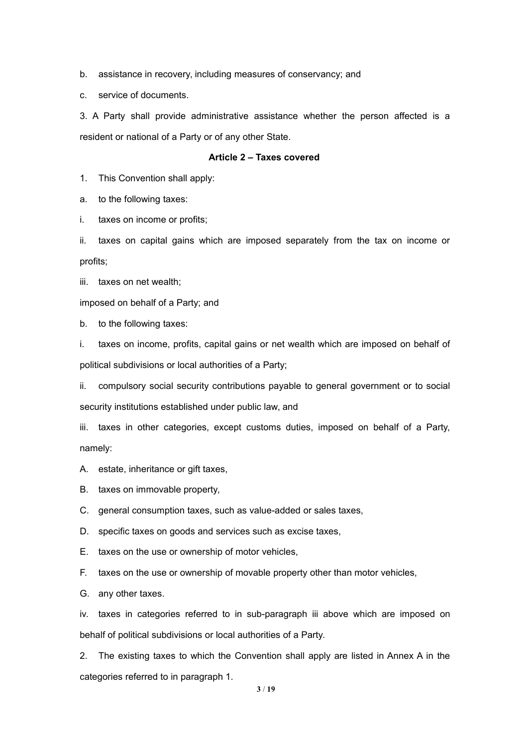b. assistance in recovery, including measures of conservancy; and

c. service of documents.

3. A Party shall provide administrative assistance whether the person affected is a resident or national of a Party or of any other State.

#### **Article 2 – Taxes covered**

1. This Convention shall apply:

a. to the following taxes:

i. taxes on income or profits;

ii. taxes on capital gains which are imposed separately from the tax on income or profits;

iii. taxes on net wealth;

imposed on behalf of a Party; and

b. to the following taxes:

i. taxes on income, profits, capital gains or net wealth which are imposed on behalf of political subdivisions or local authorities of a Party;

ii. compulsory social security contributions payable to general government or to social security institutions established under public law, and

iii. taxes in other categories, except customs duties, imposed on behalf of a Party, namely:

A. estate, inheritance or gift taxes,

B. taxes on immovable property,

C. general consumption taxes, such as value-added or sales taxes,

D. specific taxes on goods and services such as excise taxes,

E. taxes on the use or ownership of motor vehicles,

F. taxes on the use or ownership of movable property other than motor vehicles,

G. any other taxes.

iv. taxes in categories referred to in sub-paragraph iii above which are imposed on behalf of political subdivisions or local authorities of a Party.

2. The existing taxes to which the Convention shall apply are listed in Annex A in the categories referred to in paragraph 1.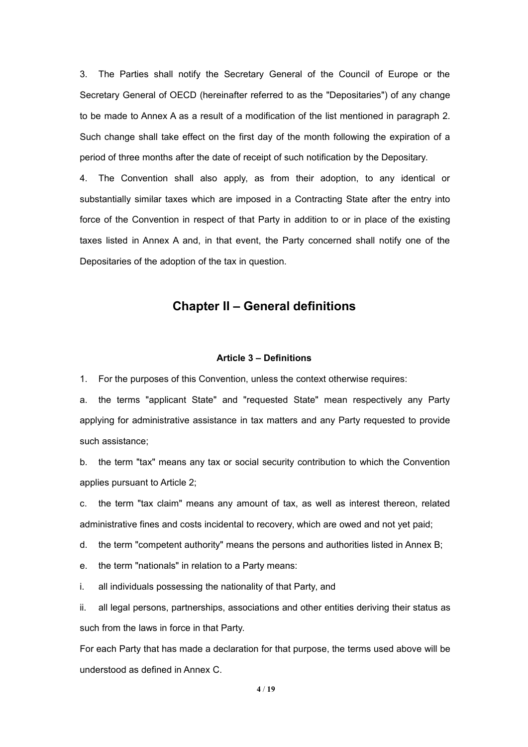3. The Parties shall notify the Secretary General of the Council of Europe or the Secretary General of OECD (hereinafter referred to as the "Depositaries") of any change to be made to Annex A as a result of a modification of the list mentioned in paragraph 2. Such change shall take effect on the first day of the month following the expiration of a period of three months after the date of receipt of such notification by the Depositary.

4. The Convention shall also apply, as from their adoption, to any identical or substantially similar taxes which are imposed in a Contracting State after the entry into force of the Convention in respect of that Party in addition to or in place of the existing taxes listed in Annex A and, in that event, the Party concerned shall notify one of the Depositaries of the adoption of the tax in question.

### **Chapter II – General definitions**

#### **Article 3 – Definitions**

1. For the purposes of this Convention, unless the context otherwise requires:

a. the terms "applicant State" and "requested State" mean respectively any Party applying for administrative assistance in tax matters and any Party requested to provide such assistance;

b. the term "tax" means any tax or social security contribution to which the Convention applies pursuant to Article 2;

c. the term "tax claim" means any amount of tax, as well as interest thereon, related administrative fines and costs incidental to recovery, which are owed and not yet paid;

d. the term "competent authority" means the persons and authorities listed in Annex B;

e. the term "nationals" in relation to a Party means:

i. all individuals possessing the nationality of that Party, and

ii. all legal persons, partnerships, associations and other entities deriving their status as such from the laws in force in that Party.

For each Party that has made a declaration for that purpose, the terms used above will be understood as defined in Annex C.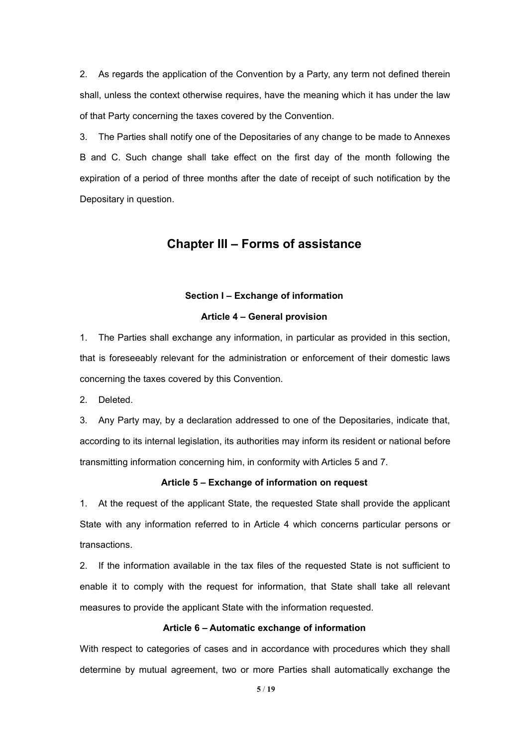2. As regards the application of the Convention by a Party, any term not defined therein shall, unless the context otherwise requires, have the meaning which it has under the law of that Party concerning the taxes covered by the Convention.

3. The Parties shall notify one of the Depositaries of any change to be made to Annexes B and C. Such change shall take effect on the first day of the month following the expiration of a period of three months after the date of receipt of such notification by the Depositary in question.

### **Chapter III – Forms of assistance**

#### **Section I – Exchange of information**

#### **Article 4 – General provision**

1. The Parties shall exchange any information, in particular as provided in this section, that is foreseeably relevant for the administration or enforcement of their domestic laws concerning the taxes covered by this Convention.

2. Deleted.

3. Any Party may, by a declaration addressed to one of the Depositaries, indicate that, according to its internal legislation, its authorities may inform its resident or national before transmitting information concerning him, in conformity with Articles 5 and 7.

#### **Article 5 – Exchange of information on request**

1. At the request of the applicant State, the requested State shall provide the applicant State with any information referred to in Article 4 which concerns particular persons or transactions.

2. If the information available in the tax files of the requested State is not sufficient to enable it to comply with the request for information, that State shall take all relevant measures to provide the applicant State with the information requested.

#### **Article 6 – Automatic exchange of information**

With respect to categories of cases and in accordance with procedures which they shall determine by mutual agreement, two or more Parties shall automatically exchange the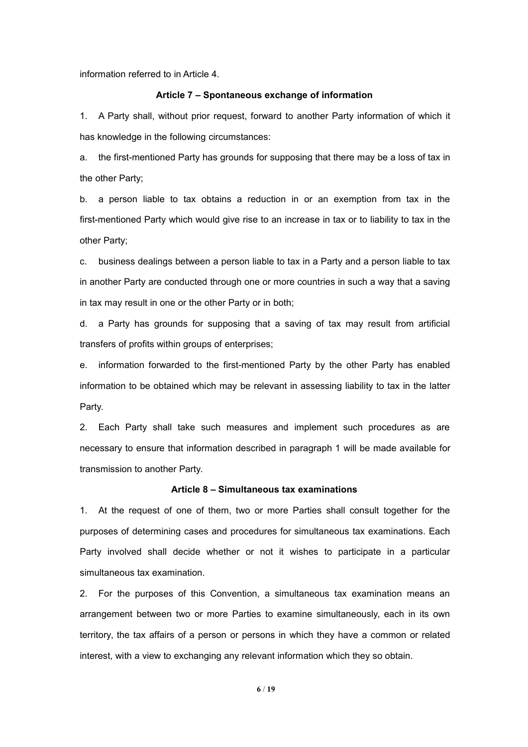information referred to in Article 4.

#### **Article 7 – Spontaneous exchange of information**

1. A Party shall, without prior request, forward to another Party information of which it has knowledge in the following circumstances:

a. the first-mentioned Party has grounds for supposing that there may be a loss of tax in the other Party;

b. a person liable to tax obtains a reduction in or an exemption from tax in the first-mentioned Party which would give rise to an increase in tax or to liability to tax in the other Party;

c. business dealings between a person liable to tax in a Party and a person liable to tax in another Party are conducted through one or more countries in such a way that a saving in tax may result in one or the other Party or in both;

d. a Party has grounds for supposing that a saving of tax may result from artificial transfers of profits within groups of enterprises;

e. information forwarded to the first-mentioned Party by the other Party has enabled information to be obtained which may be relevant in assessing liability to tax in the latter Party.

2. Each Party shall take such measures and implement such procedures as are necessary to ensure that information described in paragraph 1 will be made available for transmission to another Party.

#### **Article 8 – Simultaneous tax examinations**

1. At the request of one of them, two or more Parties shall consult together for the purposes of determining cases and procedures for simultaneous tax examinations. Each Party involved shall decide whether or not it wishes to participate in a particular simultaneous tax examination.

2. For the purposes of this Convention, a simultaneous tax examination means an arrangement between two or more Parties to examine simultaneously, each in its own territory, the tax affairs of a person or persons in which they have a common or related interest, with a view to exchanging any relevant information which they so obtain.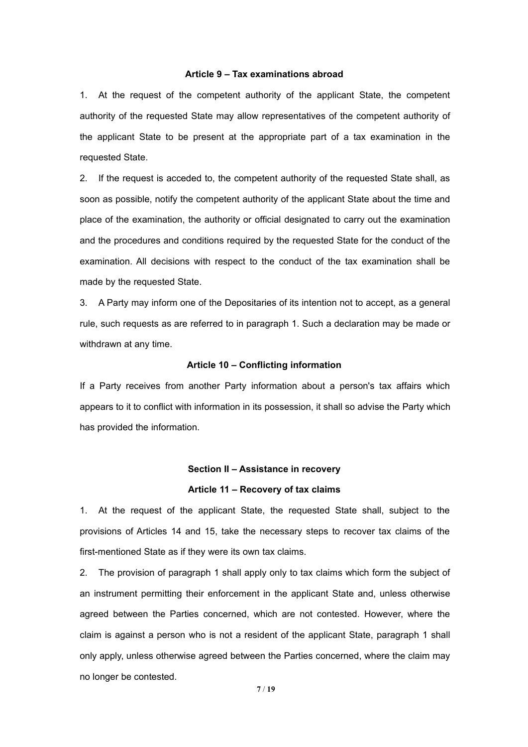#### **Article 9 – Tax examinations abroad**

1. At the request of the competent authority of the applicant State, the competent authority of the requested State may allow representatives ofthe competent authority of the applicant State to be present at the appropriate part of a tax examination in the requested State.

2. If the request is acceded to, the competent authority of the requested State shall, as soon as possible, notify the competent authority of the applicant State about the time and place of the examination, the authority or official designated to carry out the examination and the procedures and conditions required by the requested State for the conduct of the examination. All decisions with respect to the conduct of the tax examination shall be made by the requested State.

3. A Party may inform one of the Depositaries of its intention not to accept, as a general rule, such requests as are referred to in paragraph 1. Such a declaration may be made or withdrawn at any time.

#### **Article 10 – Conflicting information**

If a Party receives from another Party information about a person's tax affairs which appears to it to conflict with information in its possession, it shall so advise the Party which has provided the information.

# **Section II – Assistance in recovery Article 11 – Recovery of tax claims**

1. At the request of the applicant State, the requested State shall, subject to the provisions of Articles 14 and 15, take the necessary steps to recover tax claims of the first-mentioned State as if they were its own tax claims.

2. The provision of paragraph 1 shall apply only to tax claims which form the subject of an instrument permitting their enforcement in the applicant State and, unless otherwise agreed between the Parties concerned, which are not contested. However, where the claim is against a person who is not a resident of the applicant State, paragraph 1 shall only apply, unless otherwise agreed between the Parties concerned, where the claim may no longer be contested.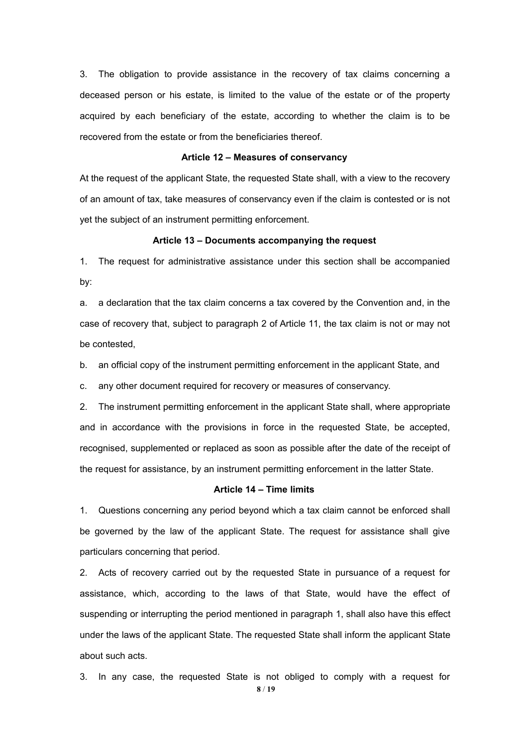3. The obligation to provide assistance in the recovery of tax claims concerning a deceased person or his estate, is limited to the value of the estate or of the property acquired by each beneficiary of the estate, according to whether the claim is to be recovered from the estate or from the beneficiaries thereof.

#### **Article 12 – Measures of conservancy**

At the request of the applicant State, the requested State shall, with a view to the recovery of an amount of tax, take measures of conservancy even if the claim is contested or is not yet the subject of an instrument permitting enforcement.

#### **Article 13 – Documents accompanying the request**

1. The request for administrative assistance under this section shall be accompanied by:

a. a declaration that the tax claim concerns atax covered by the Convention and, in the case of recovery that, subject to paragraph 2 of Article 11, the tax claim is not or may not be contested,

b. an official copy of the instrument permitting enforcement in the applicant State, and

c. any other document required for recovery or measures of conservancy.

2. The instrument permitting enforcement in the applicant State shall, where appropriate and in accordance with the provisions in force in the requested State, be accepted, recognised, supplemented or replaced as soon as possible after the date of the receipt of the request for assistance, by an instrument permitting enforcement in the latter State.

#### **Article 14 – Time limits**

1. Questions concerning any period beyond which a tax claim cannot be enforced shall be governed by the law of the applicant State. The request for assistance shall give particulars concerning that period.

2. Acts of recovery carried out by the requested State in pursuance of a request for assistance, which, according to the laws of that State, would have the effect of suspending or interrupting the period mentioned in paragraph 1, shall also have this effect under the laws of the applicant State. The requested State shall inform the applicant State about such acts.

**8** / **19** 3. In any case, the requested State is not obliged to comply with a request for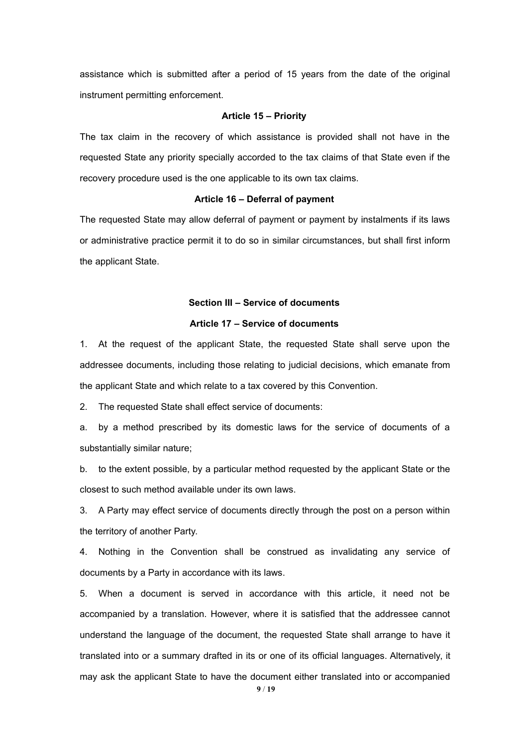assistance which is submitted after a period of 15 years from the date of the original instrument permitting enforcement.

#### **Article 15 – Priority**

The tax claim in the recovery of which assistance is provided shall not have in the requested State any priority specially accorded to the tax claims of that State even if the recovery procedure used is the one applicable to its own tax claims.

#### **Article 16 – Deferral of payment**

The requested State may allow deferral of payment or payment by instalments if its laws or administrative practice permit it to do so in similar circumstances, but shall first inform the applicant State.

#### **Section III – Service of documents**

#### **Article 17 – Service of documents**

1. At the request of the applicant State, the requested State shall serve upon the addressee documents, including those relating to judicial decisions, which emanate from the applicant State and which relate to a tax covered by this Convention.

2. The requested State shall effect service of documents:

a. by a method prescribed by its domestic laws for the service of documents of a substantially similar nature;

b. to the extent possible, by a particular method requested by the applicant State or the closest to such method available under its own laws.

3. A Party may effect service of documents directly through the post on a person within the territory of another Party.

4. Nothing in the Convention shall be construed as invalidating any service of documents by a Party in accordance with its laws.

5. When a document is served in accordance with this article, it need not be accompanied by a translation. However, where it is satisfied that the addressee cannot understand the language of the document, the requested State shall arrange to have it translated into or a summary drafted in its or one of its official languages. Alternatively, it may ask the applicant State to have the document either translated into or accompanied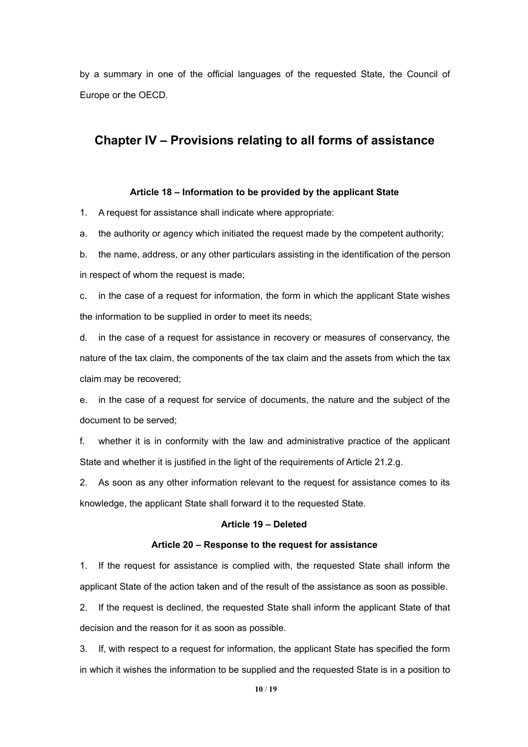by a summary in one of the official languages of the requested State, the Council of Europe or the OECD.

## **Chapter IV – Provisions relating to all forms of assistance**

#### **Article 18 – Information to be provided by the applicant State**

1. A request for assistance shall indicate where appropriate:

a. the authority or agency which initiated the requestmade by the competent authority;

b. the name, address, or any other particulars assisting in the identification of the person in respect of whom the request is made;

c. in the case of a request for information, the form in which the applicant State wishes the information to be supplied in order to meet its needs;

d. in the case of a request for assistance in recovery or measures of conservancy, the nature of the tax claim, the components of the tax claim and the assets from which the tax claim may be recovered;

e. in the case of a request for service of documents, the nature and the subject of the document to be served;

f. whether it is in conformity with the law and administrative practice of the applicant State and whether it is justified in the light of the requirements of Article 21.2.g.

2. As soon as any other information relevant to the request for assistance comes to its knowledge, the applicant State shall forward it to the requested State.

#### **Article 19 – Deleted**

#### **Article 20 – Response to the request for assistance**

1. If the request for assistance is complied with, the requested State shall inform the applicant State of the action taken and of the result of the assistance as soon as possible.

2. If the request is declined, the requested State shall inform the applicant State of that decision and the reason for it as soon as possible.

3. If, with respect to a request for information, the applicant State has specified the form in which it wishes the information to be supplied and the requested State is in a position to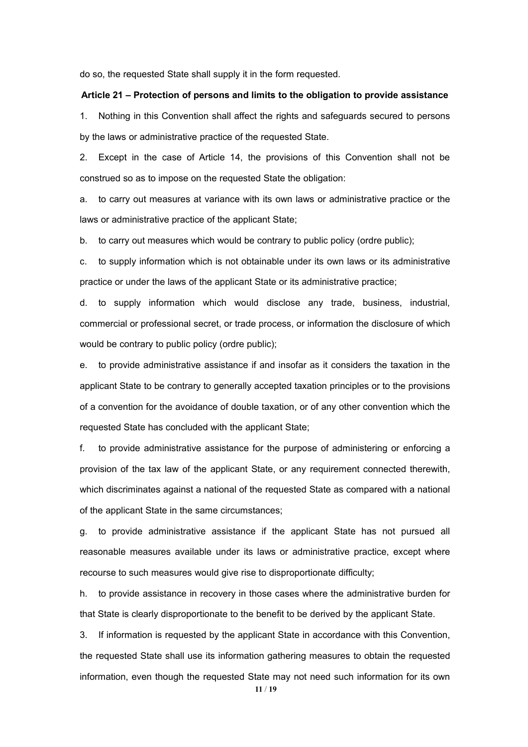do so, the requested State shall supply it in the form requested.

#### **Article 21 – Protection of persons and limits to the obligation to provide assistance**

1. Nothing in this Convention shall affect the rights and safeguards secured to persons by the laws or administrative practice of the requested State.

2. Except in the case of Article 14, the provisions of this Convention shall not be construed so as to impose on the requested State the obligation:

a. to carry out measures at variance with its own laws or administrative practice or the laws or administrative practice of the applicant State;

b. to carry out measures which would be contrary to public policy (ordre public);

c. to supply information which is not obtainable under its own laws or its administrative practice or under the laws of the applicant State or its administrative practice;

d. to supply information which would disclose any trade, business, industrial, commercial or professional secret, or trade process, or information the disclosure of which would be contrary to public policy (ordre public);

e. to provide administrative assistance if and insofar as it considers the taxation in the applicant State to be contrary to generally accepted taxation principles or to the provisions of a convention for the avoidance of double taxation, or of any other convention which the requested State has concluded with the applicant State;

f. to provide administrative assistance for the purpose of administering or enforcing a provision of the tax law of the applicant State, or any requirement connected therewith, which discriminates against a national of the requested State as compared with a national of the applicant State in the same circumstances;

g. to provide administrative assistance if the applicant State has not pursued all reasonable measures available under its laws or administrative practice, except where recourse to such measures would give rise to disproportionate difficulty;

h. to provide assistance in recovery in those cases where the administrative burden for that State is clearly disproportionate to the benefit to be derived by the applicant State.

3. If information is requested by the applicant State in accordance with this Convention, the requested State shall use its information gathering measures to obtain the requested information, even though the requested State may not need such information for its own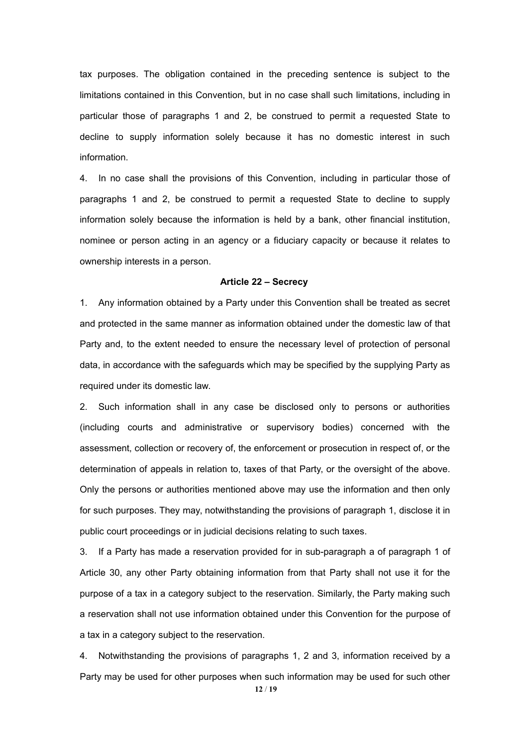tax purposes. The obligation contained in the preceding sentence is subject to the limitations contained in this Convention, but in no case shall such limitations, including in particular those of paragraphs 1 and 2, be construed to permit a requested State to decline to supply information solely because it has no domestic interest in such information.

4. In no case shall the provisions of this Convention, including in particular those of paragraphs 1 and 2, be construed to permit a requested State to decline to supply information solely because the information is held by a bank, other financial institution, nominee or person acting in an agency or a fiduciary capacity or because it relates to ownership interests in a person.

#### **Article 22 – Secrecy**

1. Any information obtained by a Party under this Convention shall be treated as secret and protected in the same manner as information obtained under the domestic law of that Party and, to the extent needed to ensure the necessary level of protection of personal data, in accordance with the safeguards which may be specified by the supplying Party as required under its domestic law.

2. Such information shall in any case be disclosed only to persons or authorities (including courts and administrative or supervisory bodies) concerned with the assessment, collection or recovery of, the enforcement or prosecution in respect of, or the determination of appeals in relation to, taxes of that Party, or the oversight of the above. Only the persons or authorities mentioned above may use the information and then only for such purposes. They may, notwithstanding the provisions of paragraph 1, disclose it in public court proceedings or in judicial decisions relating to such taxes.

3. If a Party has made a reservation provided for in sub-paragraph a of paragraph 1 of Article 30, any other Party obtaining information from that Party shall not use it for the purpose of a tax in a category subject to the reservation. Similarly, the Party making such a reservation shall not use information obtained under this Convention for the purpose of a tax in a category subject to the reservation.

4. Notwithstanding the provisions of paragraphs 1, 2 and 3, information received by a Party may be used for other purposes when such information may be used for such other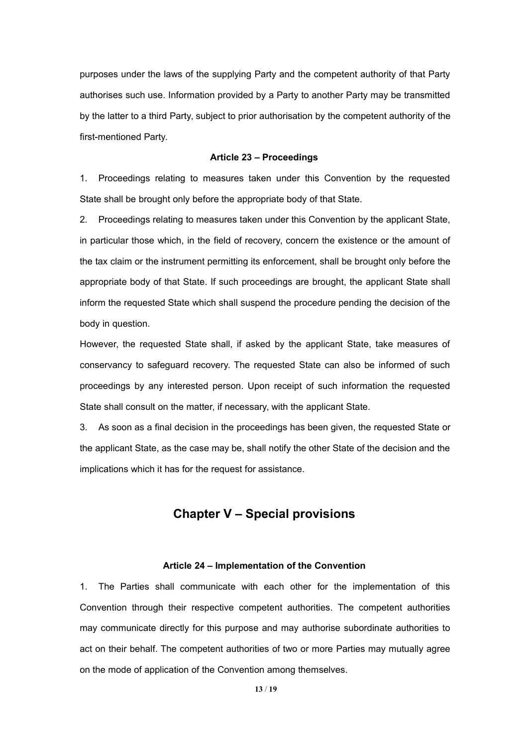purposes under the laws of the supplying Party and the competent authority of that Party authorises such use. Information provided by a Party to another Party may be transmitted by the latter to a third Party, subject to prior authorisation by the competent authority of the first-mentioned Party.

#### **Article 23 – Proceedings**

1. Proceedings relating to measures taken under this Convention by the requested State shall be brought only before the appropriate body of that State.

2. Proceedings relating to measures taken under this Convention by the applicant State, in particular those which, in the field of recovery, concern the existence or the amount of the tax claim or the instrument permitting its enforcement, shall be brought only before the appropriate body of that State. If such proceedings are brought, the applicant State shall inform the requested State which shall suspend the procedure pending the decision of the body in question.

However, the requested State shall, if asked by the applicant State, take measures of conservancy to safeguard recovery. The requested State can also be informed of such proceedings by any interested person. Upon receipt of such information the requested State shall consult on the matter, if necessary, with the applicant State.

3. As soon as a final decision in the proceedings has been given, the requested State or the applicant State, as the case may be, shall notify the other State of the decision and the implications which it has for the request for assistance.

# **Chapter V – Special provisions**

#### **Article 24 – Implementation of the Convention**

1. The Parties shall communicate with each other for the implementation of this Convention through their respective competent authorities. The competent authorities may communicate directly for this purpose and may authorise subordinate authorities to act on their behalf. The competent authorities of two or more Parties may mutually agree on the mode of application of the Convention among themselves.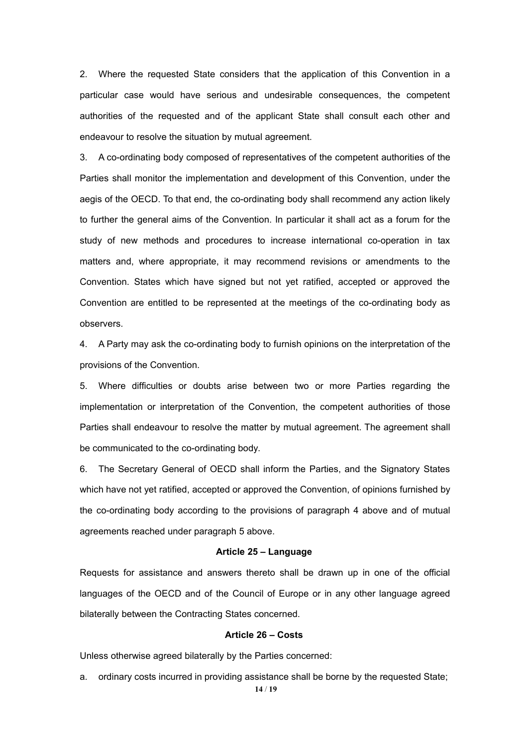2. Where the requested State considers that the application of this Convention in a particular case would have serious and undesirable consequences, the competent authorities of the requested and of the applicant State shall consult each other and endeavour to resolve the situation by mutual agreement.

3. A co-ordinating body composed of representatives of the competent authorities of the Parties shall monitor the implementation and development of this Convention, under the aegis of the OECD. To that end, the co-ordinating body shall recommend any action likely to further the general aims of the Convention. In particular it shall act as a forum for the study of new methods and procedures to increase international co-operation in tax matters and, where appropriate, it may recommend revisions or amendments to the Convention. States which have signed but not yet ratified, accepted or approved the Convention are entitled to be represented at the meetings of the co-ordinating body as observers.

4. A Party may ask the co-ordinating body to furnish opinions on the interpretation of the provisions of the Convention.

5. Where difficulties or doubts arise between two or more Parties regarding the implementation or interpretation of the Convention, the competent authorities of those Parties shall endeavour to resolve the matter by mutual agreement. The agreement shall be communicated to the co-ordinating body.

6. The Secretary General of OECD shall inform the Parties, and the Signatory States which have not yet ratified, accepted or approved the Convention, of opinions furnished by the co-ordinating body according to the provisions of paragraph 4 above and of mutual agreements reached under paragraph 5 above.

#### **Article 25 – Language**

Requests for assistance and answers thereto shall be drawn up in one of the official languages of the OECD and of the Council of Europe or in any other language agreed bilaterally between the Contracting States concerned.

#### **Article 26 – Costs**

Unless otherwise agreed bilaterally by the Parties concerned:

a. ordinary costs incurred in providing assistance shall be borne by the requested State;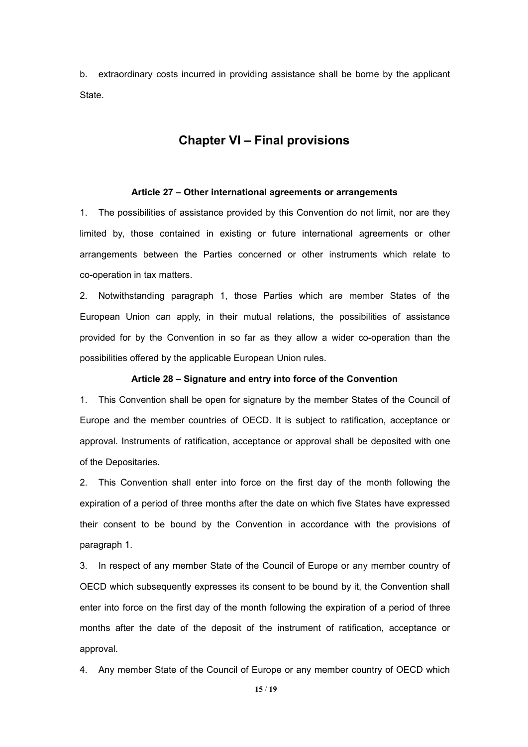b. extraordinary costs incurred in providing assistance shall be borne by the applicant State.

### **Chapter VI – Final provisions**

#### **Article 27 – Other international agreements or arrangements**

1. The possibilities of assistance provided by this Convention do not limit, nor are they limited by, those contained in existing or future international agreements or other arrangements between the Parties concerned or other instruments which relate to co-operation in tax matters.

2. Notwithstanding paragraph 1, those Parties which are member States of the European Union can apply, in their mutual relations, the possibilities of assistance provided for by the Convention in so far as they allow a wider co-operation than the possibilities offered by the applicable European Union rules.

#### **Article 28 – Signature and entry into force of the Convention**

1. This Convention shall be open for signature by the member States of the Council of Europe and the member countries of OECD. It is subject to ratification, acceptance or approval. Instruments of ratification, acceptance or approval shall be deposited with one of the Depositaries.

2. This Convention shall enter into force on the first day of the month following the expiration of a period of three months after the date on which five States have expressed their consent to be bound by the Convention in accordance with the provisions of paragraph 1.

3. In respect of any member State of the Council of Europe or any member country of OECD which subsequently expresses its consent to be bound by it, the Convention shall enter into force on the first day of the month following the expiration of a period of three months after the date of the deposit of the instrument of ratification, acceptance or approval.

4. Any member State of the Council of Europe or any member country of OECD which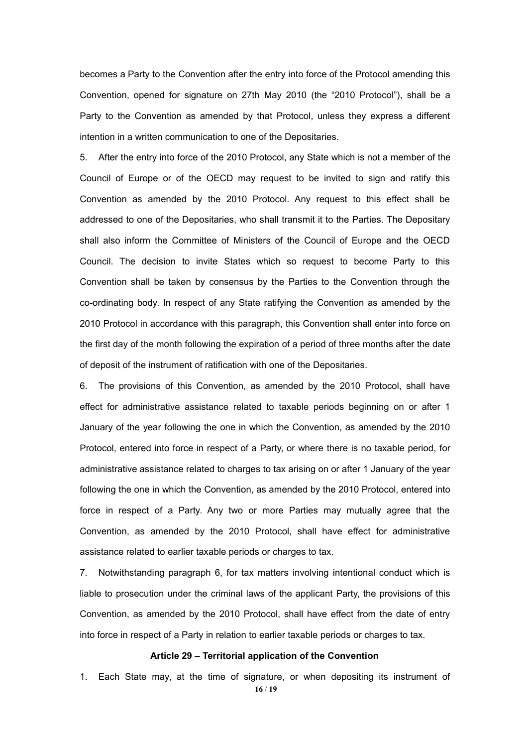becomes a Party to the Convention after the entry into force of the Protocol amending this Convention, opened for signature on 27th May 2010 (the "2010 Protocol"), shall be a Party to the Convention as amended by that Protocol, unless they express a different intention in a written communication to one of the Depositaries.

5. After the entry into force of the 2010 Protocol, any State which is not a member of the Council of Europe or of the OECD may request to be invited to sign and ratify this Convention as amended by the 2010 Protocol. Any request to this effect shall be addressed to one of the Depositaries, who shall transmit it to the Parties. The Depositary shall also inform the Committee of Ministers of the Council of Europe and the OECD Council. The decision to invite States which so request to become Party to this Convention shall be taken by consensus by the Parties to the Convention through the co-ordinating body. In respect of any State ratifying the Convention as amended by the 2010 Protocol in accordance with this paragraph, this Convention shall enter into force on the first day of the month following the expiration of a period of three months after the date of deposit of the instrument of ratification with one of the Depositaries.

6. The provisions of this Convention, as amended by the 2010 Protocol, shall have effect for administrative assistance related to taxable periods beginning on or after 1 January of the year following the one in which the Convention, as amended by the 2010 Protocol, entered into force in respect of a Party, or where there is no taxable period, for administrative assistance related to charges to tax arising on or after 1 January of the year following the one in which the Convention, as amended by the 2010 Protocol, entered into force in respect of a Party. Any two or more Parties may mutually agree that the Convention, as amended by the 2010 Protocol, shall have effect for administrative assistance related to earlier taxable periods or charges to tax.

7. Notwithstanding paragraph 6, for tax matters involving intentional conduct which is liable to prosecution under the criminal laws of the applicant Party, the provisions of this Convention, as amended by the 2010 Protocol, shall have effect from the date of entry into force in respect of a Party in relation to earlier taxable periods or charges to tax.

#### **Article 29 – Territorial application of the Convention**

**16** / **19** 1. Each State may, at the time of signature, or when depositing its instrument of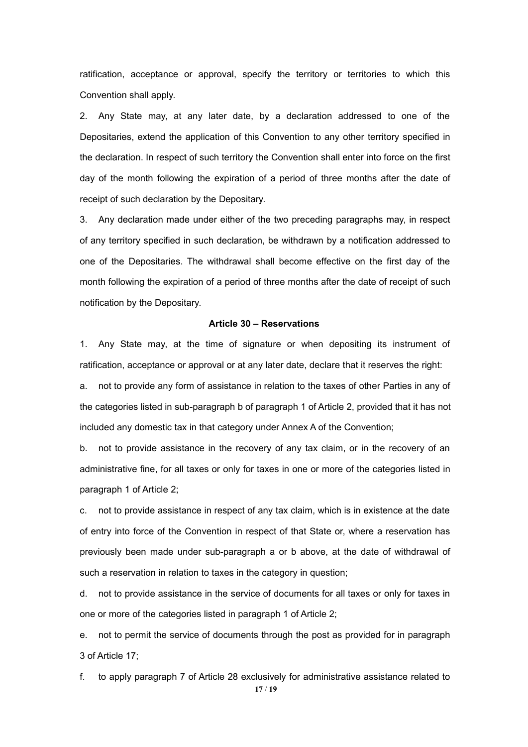ratification, acceptance or approval, specify the territory or territories to which this Convention shall apply.

2. Any State may, at any later date, by a declaration addressed to one of the Depositaries, extend the application of this Convention to any other territory specified in the declaration. In respect of such territory the Convention shall enter into force on the first day of the month following the expiration of a period of three months after the date of receipt of such declaration by the Depositary.

3. Any declaration made under either of the two preceding paragraphs may, in respect of any territory specified in such declaration, be withdrawn by a notification addressed to one of the Depositaries. The withdrawal shall become effective on the first day of the month following the expiration of a period of three months after the date of receipt of such notification by the Depositary.

#### **Article 30 – Reservations**

1. Any State may, at the time of signature or when depositing its instrument of ratification, acceptance or approval or at any later date, declare that it reserves the right:

a. not to provide any form of assistance in relation to the taxes of other Parties in any of the categories listed in sub-paragraph b of paragraph 1 of Article 2, provided that it has not included any domestic tax in that category under Annex A of the Convention;

b. not to provide assistance in the recovery of any tax claim, or in the recovery of an administrative fine, for all taxes or only for taxes in one or more of the categories listed in paragraph 1 of Article 2;

c. not to provide assistance in respect of any tax claim, which is in existence at the date of entry into force of the Convention in respect of that State or, where a reservation has previously been made under sub-paragraph a or b above, at the date of withdrawal of such a reservation in relation to taxes in the category in question;

d. not to provide assistance in the service of documents for all taxes or only for taxes in one or more of the categories listed in paragraph 1 of Article 2;

e. not to permit the service of documents through the post as provided for in paragraph 3 of Article 17;

**17** / **19** f. to apply paragraph 7 of Article 28 exclusively for administrative assistance related to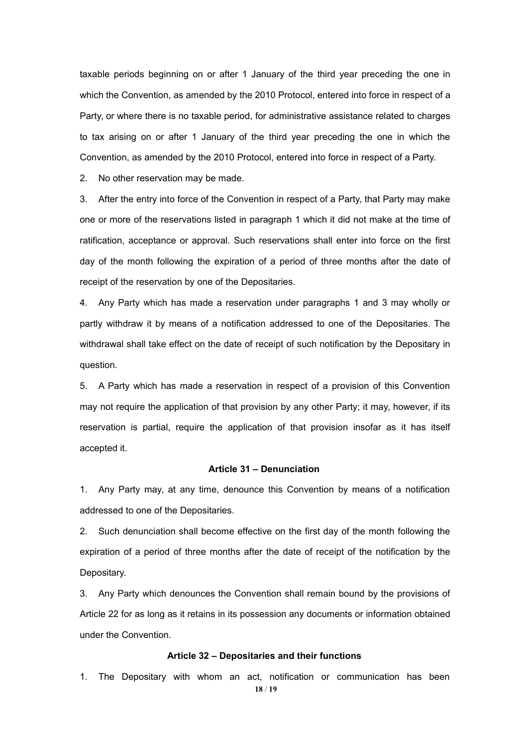taxable periods beginning on or after 1 January of the third year preceding the one in which the Convention, as amended by the 2010 Protocol, entered into force in respect of a Party, or where there is no taxable period, for administrative assistance related to charges to tax arising on or after 1 January of the third year preceding the one in which the Convention, as amended by the 2010 Protocol, entered into force in respect of a Party.

2. No other reservation may be made.

3. After the entry into force of the Convention in respect of a Party, that Party may make one or more of the reservations listed in paragraph 1 which it did not make at the time of ratification, acceptance or approval. Such reservations shall enter into force on the first day of the month following the expiration of a period of three months after the date of receipt of the reservation by one of the Depositaries.

4. Any Party which has made a reservation under paragraphs 1 and 3 may wholly or partly withdraw it by means of a notification addressed to one of the Depositaries. The withdrawal shall take effect on the date of receipt of such notification by the Depositary in question.

5. A Party which has made a reservation in respect of a provision of this Convention may not require the application of that provision by any other Party; it may, however, if its reservation is partial, require the application of that provision insofar as it has itself accepted it.

#### **Article 31 – Denunciation**

1. Any Party may, at any time, denounce this Convention by means of a notification addressed to one of the Depositaries.

2. Such denunciation shall become effective on the first day of the month following the expiration of a period of three months after the date of receipt of the notification by the Depositary.

3. Any Party which denounces the Convention shall remain bound by the provisions of Article 22 for as long as it retains in its possession any documents or information obtained under the Convention.

#### **Article 32 – Depositaries and their functions**

**18** / **19** 1. The Depositary with whom an act, notification or communication has been